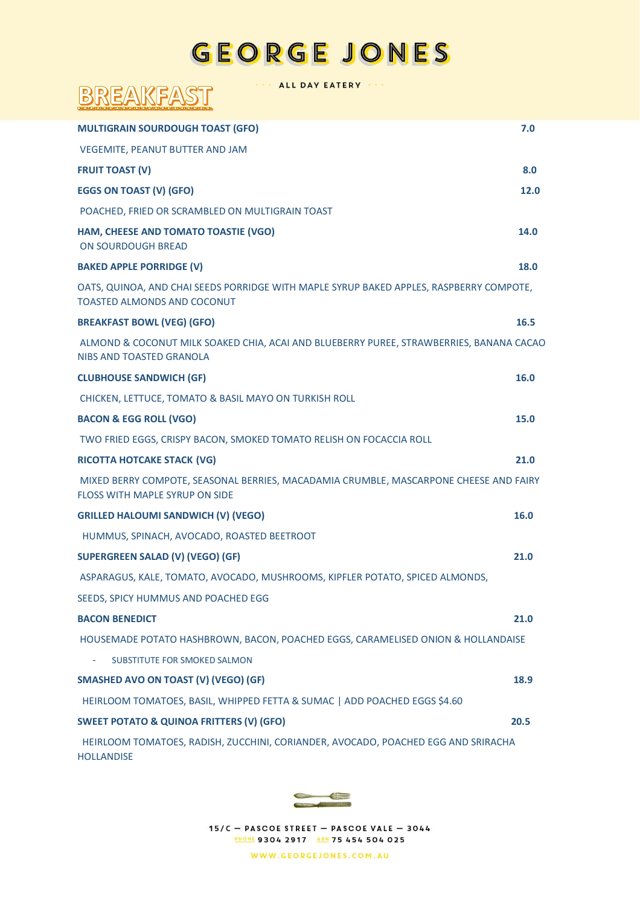## GEORGE JONES

ALL DAY EATERY

BREAKFAST

| <b>MULTIGRAIN SOURDOUGH TOAST (GFO)</b>                                                                                        | 7.0  |
|--------------------------------------------------------------------------------------------------------------------------------|------|
| VEGEMITE, PEANUT BUTTER AND JAM                                                                                                |      |
| <b>FRUIT TOAST (V)</b>                                                                                                         | 8.0  |
| <b>EGGS ON TOAST (V) (GFO)</b>                                                                                                 | 12.0 |
| POACHED, FRIED OR SCRAMBLED ON MULTIGRAIN TOAST                                                                                |      |
| HAM, CHEESE AND TOMATO TOASTIE (VGO)<br><b>ON SOURDOUGH BREAD</b>                                                              | 14.0 |
| <b>BAKED APPLE PORRIDGE (V)</b>                                                                                                | 18.0 |
| OATS, QUINOA, AND CHAI SEEDS PORRIDGE WITH MAPLE SYRUP BAKED APPLES, RASPBERRY COMPOTE,<br><b>TOASTED ALMONDS AND COCONUT</b>  |      |
| <b>BREAKFAST BOWL (VEG) (GFO)</b>                                                                                              | 16.5 |
| ALMOND & COCONUT MILK SOAKED CHIA, ACAI AND BLUEBERRY PUREE, STRAWBERRIES, BANANA CACAO<br>NIBS AND TOASTED GRANOLA            |      |
| <b>CLUBHOUSE SANDWICH (GF)</b>                                                                                                 | 16.0 |
| CHICKEN, LETTUCE, TOMATO & BASIL MAYO ON TURKISH ROLL                                                                          |      |
| <b>BACON &amp; EGG ROLL (VGO)</b>                                                                                              | 15.0 |
| TWO FRIED EGGS, CRISPY BACON, SMOKED TOMATO RELISH ON FOCACCIA ROLL                                                            |      |
| <b>RICOTTA HOTCAKE STACK (VG)</b>                                                                                              | 21.0 |
| MIXED BERRY COMPOTE, SEASONAL BERRIES, MACADAMIA CRUMBLE, MASCARPONE CHEESE AND FAIRY<br><b>FLOSS WITH MAPLE SYRUP ON SIDE</b> |      |
| <b>GRILLED HALOUMI SANDWICH (V) (VEGO)</b>                                                                                     | 16.0 |
| HUMMUS, SPINACH, AVOCADO, ROASTED BEETROOT                                                                                     |      |
| <b>SUPERGREEN SALAD (V) (VEGO) (GF)</b>                                                                                        | 21.0 |
| ASPARAGUS, KALE, TOMATO, AVOCADO, MUSHROOMS, KIPFLER POTATO, SPICED ALMONDS,                                                   |      |
| SEEDS, SPICY HUMMUS AND POACHED EGG                                                                                            |      |
| <b>BACON BENEDICT</b>                                                                                                          | 21.0 |
| HOUSEMADE POTATO HASHBROWN, BACON, POACHED EGGS, CARAMELISED ONION & HOLLANDAISE                                               |      |
| SUBSTITUTE FOR SMOKED SALMON                                                                                                   |      |
| SMASHED AVO ON TOAST (V) (VEGO) (GF)                                                                                           | 18.9 |
| HEIRLOOM TOMATOES, BASIL, WHIPPED FETTA & SUMAC   ADD POACHED EGGS \$4.60                                                      |      |
| <b>SWEET POTATO &amp; QUINOA FRITTERS (V) (GFO)</b>                                                                            | 20.5 |
| HEIRLOOM TOMATOES, RADISH, ZUCCHINI, CORIANDER, AVOCADO, POACHED EGG AND SRIRACHA<br><b>HOLLANDISE</b>                         |      |



15/C - PASCOE STREET - PASCOE VALE - 3044 PHONE 9304 2917 ABN 75 454 504 025

WWW.GEORGEJONES.COM.AU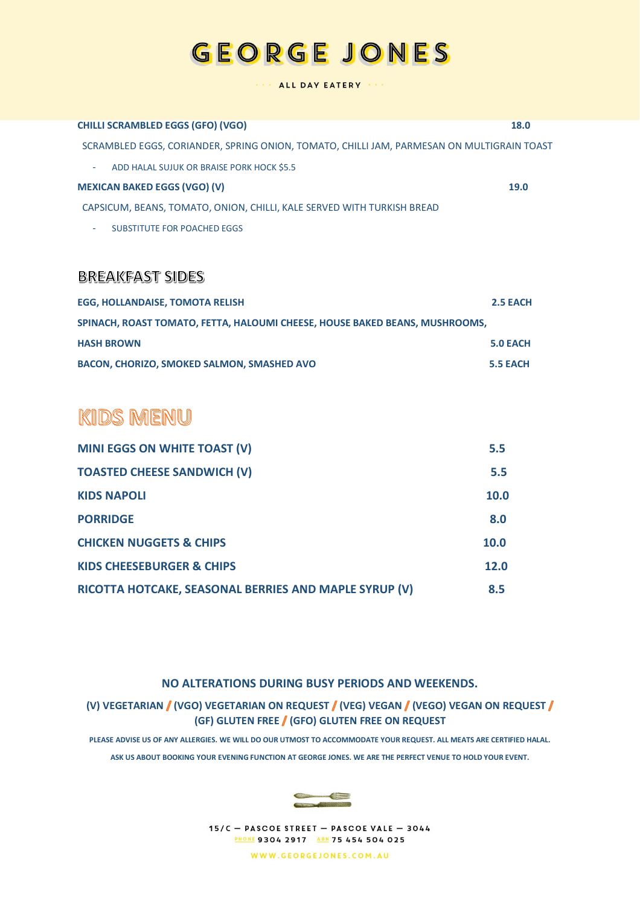## **GEORGE JONES**

#### ALL DAY EATERY

| <b>CHILLI SCRAMBLED EGGS (GFO) (VGO)</b>                                                  | <b>18.0</b> |
|-------------------------------------------------------------------------------------------|-------------|
| SCRAMBLED EGGS, CORIANDER, SPRING ONION, TOMATO, CHILLI JAM, PARMESAN ON MULTIGRAIN TOAST |             |
| ADD HALAL SUJUK OR BRAISE PORK HOCK \$5.5<br>۰.                                           |             |
| <b>MEXICAN BAKED EGGS (VGO) (V)</b>                                                       | <b>19.0</b> |
| CAPSICUM, BEANS, TOMATO, ONION, CHILLI, KALE SERVED WITH TURKISH BREAD                    |             |
| <b>SUBSTITUTE FOR POACHED EGGS</b><br>٠                                                   |             |

### **BREAKFAST SIDES**

| EGG, HOLLANDAISE, TOMOTA RELISH                                             | 2.5 EACH |
|-----------------------------------------------------------------------------|----------|
| SPINACH, ROAST TOMATO, FETTA, HALOUMI CHEESE, HOUSE BAKED BEANS, MUSHROOMS, |          |
| <b>HASH BROWN</b>                                                           | 5.0 EACH |
| <b>BACON, CHORIZO, SMOKED SALMON, SMASHED AVO</b>                           | 5.5 EACH |

## **KIDS MENU**

| <b>MINI EGGS ON WHITE TOAST (V)</b>                   | 5.5         |
|-------------------------------------------------------|-------------|
| <b>TOASTED CHEESE SANDWICH (V)</b>                    | 5.5         |
| <b>KIDS NAPOLI</b>                                    | 10.0        |
| <b>PORRIDGE</b>                                       | 8.0         |
| <b>CHICKEN NUGGETS &amp; CHIPS</b>                    | <b>10.0</b> |
| <b>KIDS CHEESEBURGER &amp; CHIPS</b>                  | 12.0        |
| RICOTTA HOTCAKE, SEASONAL BERRIES AND MAPLE SYRUP (V) | 8.5         |

### **NO ALTERATIONS DURING BUSY PERIODS AND WEEKENDS.**

### **(V) VEGETARIAN (VGO) VEGETARIAN ON REQUEST (VEG) VEGAN (VEGO) VEGAN ON REQUEST (GF) GLUTEN FREE (GFO) GLUTEN FREE ON REQUEST**

**PLEASE ADVISE US OF ANY ALLERGIES. WE WILL DO OUR UTMOST TO ACCOMMODATE YOUR REQUEST. ALL MEATS ARE CERTIFIED HALAL. ASK US ABOUT BOOKING YOUR EVENING FUNCTION AT GEORGE JONES. WE ARE THE PERFECT VENUE TO HOLD YOUR EVENT.**



15/C - PASCOE STREET - PASCOE VALE - 3044 PHONE 9304 2917 ABN 75 454 504 025

WWW.GEORGEJONES.COM.AU